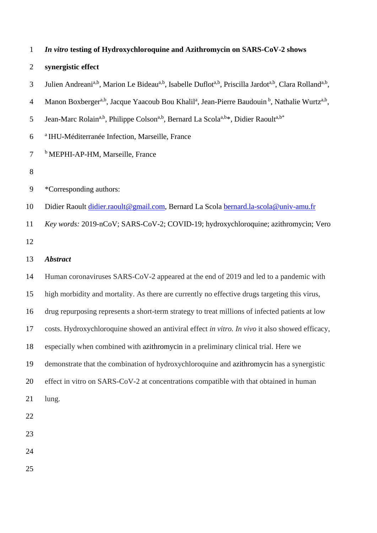| $\mathbf{1}$   | In vitro testing of Hydroxychloroquine and Azithromycin on SARS-CoV-2 shows                                                                                          |
|----------------|----------------------------------------------------------------------------------------------------------------------------------------------------------------------|
| $\mathbf{2}$   | synergistic effect                                                                                                                                                   |
| 3              | Julien Andreani <sup>a,b</sup> , Marion Le Bideau <sup>a,b</sup> , Isabelle Duflot <sup>a,b</sup> , Priscilla Jardot <sup>a,b</sup> , Clara Rolland <sup>a,b</sup> , |
| $\overline{4}$ | Manon Boxberger <sup>a,b</sup> , Jacque Yaacoub Bou Khalil <sup>a</sup> , Jean-Pierre Baudouin <sup>b</sup> , Nathalie Wurtz <sup>a,b</sup> ,                        |
| 5              | Jean-Marc Rolain <sup>a,b</sup> , Philippe Colson <sup>a,b</sup> , Bernard La Scola <sup>a,b*</sup> , Didier Raoult <sup>a,b*</sup>                                  |
| 6              | <sup>a</sup> IHU-Méditerranée Infection, Marseille, France                                                                                                           |
| $\overline{7}$ | <sup>b</sup> MEPHI-AP-HM, Marseille, France                                                                                                                          |
| $8\,$          |                                                                                                                                                                      |
| 9              | *Corresponding authors:                                                                                                                                              |
| 10             | Didier Raoult didier.raoult@gmail.com, Bernard La Scola bernard.la-scola@univ-amu.fr                                                                                 |
| 11             | Key words: 2019-nCoV; SARS-CoV-2; COVID-19; hydroxychloroquine; azithromycin; Vero                                                                                   |
| 12             |                                                                                                                                                                      |
| 13             | <b>Abstract</b>                                                                                                                                                      |
| 14             | Human coronaviruses SARS-CoV-2 appeared at the end of 2019 and led to a pandemic with                                                                                |
| 15             | high morbidity and mortality. As there are currently no effective drugs targeting this virus,                                                                        |
| 16             | drug repurposing represents a short-term strategy to treat millions of infected patients at low                                                                      |
| 17             | costs. Hydroxychloroquine showed an antiviral effect in vitro. In vivo it also showed efficacy,                                                                      |
| 18             | especially when combined with azithromycin in a preliminary clinical trial. Here we                                                                                  |
| 19             | demonstrate that the combination of hydroxychloroquine and azithromycin has a synergistic                                                                            |
| 20             | effect in vitro on SARS-CoV-2 at concentrations compatible with that obtained in human                                                                               |
| 21             | lung.                                                                                                                                                                |
| 22             |                                                                                                                                                                      |
| 23             |                                                                                                                                                                      |
| 24             |                                                                                                                                                                      |
| 25             |                                                                                                                                                                      |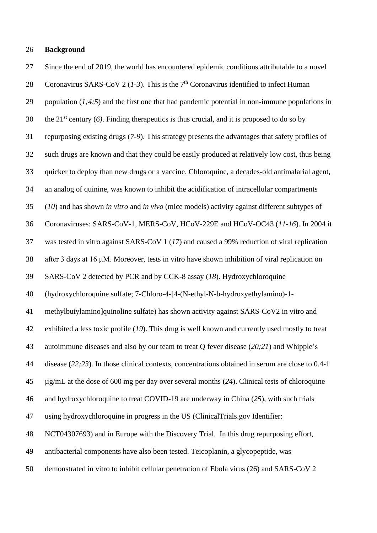#### **Background**

 Since the end of 2019, the world has encountered epidemic conditions attributable to a novel 28 Coronavirus SARS-CoV 2 (1-3). This is the  $7<sup>th</sup>$  Coronavirus identified to infect Human population (*1;4;5*) and the first one that had pandemic potential in non-immune populations in 30 the  $21<sup>st</sup>$  century (6). Finding therapeutics is thus crucial, and it is proposed to do so by repurposing existing drugs (*7-9*). This strategy presents the advantages that safety profiles of such drugs are known and that they could be easily produced at relatively low cost, thus being quicker to deploy than new drugs or a vaccine. Chloroquine, a decades-old antimalarial agent, an analog of quinine, was known to inhibit the acidification of intracellular compartments (*10*) and has shown *in vitro* and *in vivo* (mice models) activity against different subtypes of Coronaviruses: SARS-CoV-1, MERS-CoV, HCoV-229E and HCoV-OC43 (*11-16*). In 2004 it was tested in vitro against SARS-CoV 1 (*17*) and caused a 99% reduction of viral replication after 3 days at 16 μM. Moreover, tests in vitro have shown inhibition of viral replication on SARS-CoV 2 detected by PCR and by CCK-8 assay (*18*). Hydroxychloroquine (hydroxychloroquine sulfate; 7-Chloro-4-[4-(N-ethyl-N-b-hydroxyethylamino)-1- methylbutylamino]quinoline sulfate) has shown activity against SARS-CoV2 in vitro and exhibited a less toxic profile (*19*). This drug is well known and currently used mostly to treat autoimmune diseases and also by our team to treat Q fever disease (*20;21*) and Whipple's disease (*22;23*). In those clinical contexts, concentrations obtained in serum are close to 0.4-1 µg/mL at the dose of 600 mg per day over several months (*24*). Clinical tests of chloroquine and hydroxychloroquine to treat COVID-19 are underway in China (*25*), with such trials using hydroxychloroquine in progress in the US (ClinicalTrials.gov Identifier: NCT04307693) and in Europe with the Discovery Trial. In this drug repurposing effort, antibacterial components have also been tested. Teicoplanin, a glycopeptide, was demonstrated in vitro to inhibit cellular penetration of Ebola virus (26) and SARS-CoV 2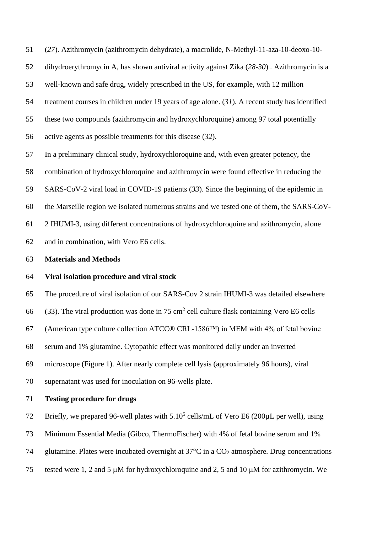(*27*). Azithromycin (azithromycin dehydrate), a macrolide, N-Methyl-11-aza-10-deoxo-10-

dihydroerythromycin A, has shown antiviral activity against Zika (*28-30*) . Azithromycin is a

well-known and safe drug, widely prescribed in the US, for example, with 12 million

treatment courses in children under 19 years of age alone. (*31*). A recent study has identified

these two compounds (azithromycin and hydroxychloroquine) among 97 total potentially

active agents as possible treatments for this disease (*32*).

In a preliminary clinical study, hydroxychloroquine and, with even greater potency, the

combination of hydroxychloroquine and azithromycin were found effective in reducing the

SARS-CoV-2 viral load in COVID-19 patients (*33*). Since the beginning of the epidemic in

the Marseille region we isolated numerous strains and we tested one of them, the SARS-CoV-

2 IHUMI-3, using different concentrations of hydroxychloroquine and azithromycin, alone

and in combination, with Vero E6 cells.

### **Materials and Methods**

#### **Viral isolation procedure and viral stock**

 The procedure of viral isolation of our SARS-Cov 2 strain IHUMI-3 was detailed elsewhere 66 (33). The viral production was done in 75 cm<sup>2</sup> cell culture flask containing Vero E6 cells (American type culture collection ATCC® CRL-1586™) in MEM with 4% of fetal bovine serum and 1% glutamine. Cytopathic effect was monitored daily under an inverted microscope (Figure 1). After nearly complete cell lysis (approximately 96 hours), viral supernatant was used for inoculation on 96-wells plate.

### **Testing procedure for drugs**

72 Briefly, we prepared 96-well plates with  $5.10^5$  cells/mL of Vero E6 (200 $\mu$ L per well), using

Minimum Essential Media (Gibco, ThermoFischer) with 4% of fetal bovine serum and 1%

74 glutamine. Plates were incubated overnight at  $37^{\circ}$ C in a CO<sub>2</sub> atmosphere. Drug concentrations

75 tested were 1, 2 and 5 uM for hydroxychloroquine and 2, 5 and 10 uM for azithromycin. We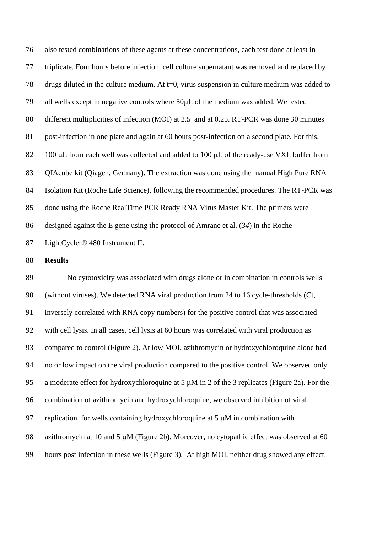also tested combinations of these agents at these concentrations, each test done at least in triplicate. Four hours before infection, cell culture supernatant was removed and replaced by 78 drugs diluted in the culture medium. At t=0, virus suspension in culture medium was added to all wells except in negative controls where 50µL of the medium was added. We tested different multiplicities of infection (MOI) at 2.5 and at 0.25. RT-PCR was done 30 minutes post-infection in one plate and again at 60 hours post-infection on a second plate. For this, 82 100  $\mu$ L from each well was collected and added to 100  $\mu$ L of the ready-use VXL buffer from QIAcube kit (Qiagen, Germany). The extraction was done using the manual High Pure RNA Isolation Kit (Roche Life Science), following the recommended procedures. The RT-PCR was done using the Roche RealTime PCR Ready RNA Virus Master Kit. The primers were designed against the E gene using the protocol of Amrane et al. (*34*) in the Roche LightCycler® 480 Instrument II.

### **Results**

 No cytotoxicity was associated with drugs alone or in combination in controls wells (without viruses). We detected RNA viral production from 24 to 16 cycle-thresholds (Ct, inversely correlated with RNA copy numbers) for the positive control that was associated with cell lysis. In all cases, cell lysis at 60 hours was correlated with viral production as compared to control (Figure 2). At low MOI, azithromycin or hydroxychloroquine alone had no or low impact on the viral production compared to the positive control. We observed only a moderate effect for hydroxychloroquine at 5 µM in 2 of the 3 replicates (Figure 2a). For the combination of azithromycin and hydroxychloroquine, we observed inhibition of viral 97 replication for wells containing hydroxychloroquine at  $5 \mu$ M in combination with 98 azithromycin at 10 and 5  $\mu$ M (Figure 2b). Moreover, no cytopathic effect was observed at 60 hours post infection in these wells (Figure 3). At high MOI, neither drug showed any effect.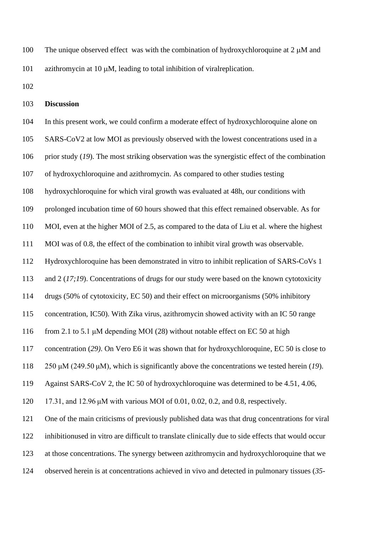100 The unique observed effect was with the combination of hydroxychloroquine at 2  $\mu$ M and 101 azithromycin at 10  $\mu$ M, leading to total inhibition of viral replication.

**Discussion**

 In this present work, we could confirm a moderate effect of hydroxychloroquine alone on SARS-CoV2 at low MOI as previously observed with the lowest concentrations used in a prior study (*19*). The most striking observation was the synergistic effect of the combination of hydroxychloroquine and azithromycin. As compared to other studies testing hydroxychloroquine for which viral growth was evaluated at 48h, our conditions with prolonged incubation time of 60 hours showed that this effect remained observable. As for MOI, even at the higher MOI of 2.5, as compared to the data of Liu et al. where the highest MOI was of 0.8, the effect of the combination to inhibit viral growth was observable. Hydroxychloroquine has been demonstrated in vitro to inhibit replication of SARS-CoVs 1 and 2 (*17;19*). Concentrations of drugs for our study were based on the known cytotoxicity drugs (50% of cytotoxicity, EC 50) and their effect on microorganisms (50% inhibitory concentration, IC50). With Zika virus, azithromycin showed activity with an IC 50 range from 2.1 to 5.1 μM depending MOI (28) without notable effect on EC 50 at high concentration (*29)*. On Vero E6 it was shown that for hydroxychloroquine, EC 50 is close to 250 μM (249.50 μM), which is significantly above the concentrations we tested herein (*19*). Against SARS-CoV 2, the IC 50 of hydroxychloroquine was determined to be 4.51, 4.06, 17.31, and 12.96 μM with various MOI of 0.01, 0.02, 0.2, and 0.8, respectively. One of the main criticisms of previously published data was that drug concentrations for viral inhibitionused in vitro are difficult to translate clinically due to side effects that would occur at those concentrations. The synergy between azithromycin and hydroxychloroquine that we observed herein is at concentrations achieved in vivo and detected in pulmonary tissues (*35-*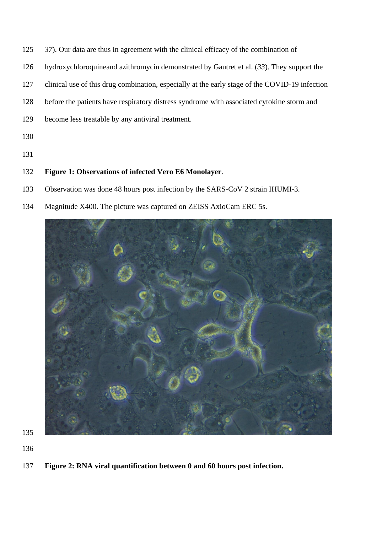- *37*). Our data are thus in agreement with the clinical efficacy of the combination of
- hydroxychloroquineand azithromycin demonstrated by Gautret et al. (*33*). They support the
- clinical use of this drug combination, especially at the early stage of the COVID-19 infection
- before the patients have respiratory distress syndrome with associated cytokine storm and
- become less treatable by any antiviral treatment.
- 
- 
- **Figure 1: Observations of infected Vero E6 Monolayer**.
- Observation was done 48 hours post infection by the SARS-CoV 2 strain IHUMI-3.
- Magnitude X400. The picture was captured on ZEISS AxioCam ERC 5s.



- 
- 
- **Figure 2: RNA viral quantification between 0 and 60 hours post infection.**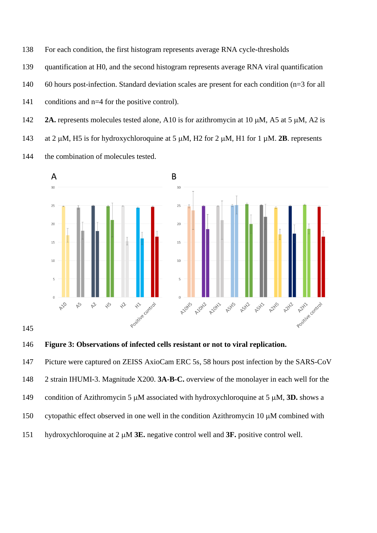- For each condition, the first histogram represents average RNA cycle-thresholds
- quantification at H0, and the second histogram represents average RNA viral quantification
- 60 hours post-infection. Standard deviation scales are present for each condition (n=3 for all
- conditions and n=4 for the positive control).
- 142 **2A.** represents molecules tested alone, A10 is for azithromycin at 10  $\mu$ M, A5 at 5  $\mu$ M, A2 is
- 143 at 2  $\mu$ M, H<sub>2</sub> is for hydroxychloroquine at 5  $\mu$ M, H<sub>2</sub> for 2  $\mu$ M, H<sub>1</sub> for 1  $\mu$ M. **2B**. represents
- the combination of molecules tested.





 Picture were captured on ZEISS AxioCam ERC 5s, 58 hours post infection by the SARS-CoV 2 strain IHUMI-3. Magnitude X200. **3A-B-C.** overview of the monolayer in each well for the 149 condition of Azithromycin 5  $\mu$ M associated with hydroxychloroquine at 5  $\mu$ M, **3D.** shows a 150 cytopathic effect observed in one well in the condition Azithromycin 10  $\mu$ M combined with 151 hydroxychloroquine at 2  $\mu$ M **3E.** negative control well and **3F.** positive control well.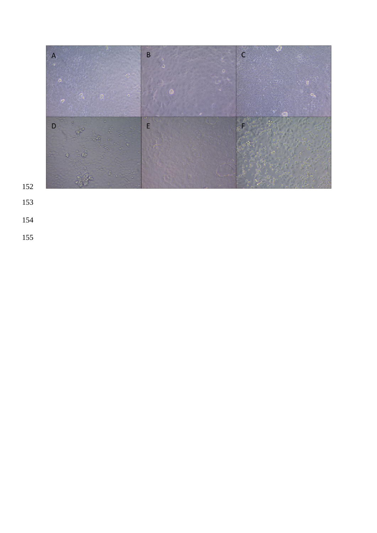

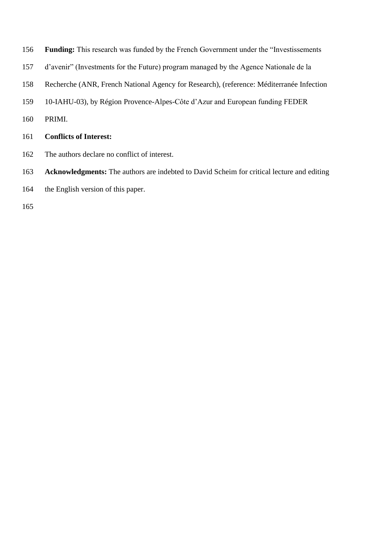- **Funding:** This research was funded by the French Government under the "Investissements
- d'avenir" (Investments for the Future) program managed by the Agence Nationale de la
- Recherche (ANR, French National Agency for Research), (reference: Méditerranée Infection
- 10-IAHU-03), by Région Provence-Alpes-Côte d'Azur and European funding FEDER
- PRIMI.

## **Conflicts of Interest:**

- The authors declare no conflict of interest.
- **Acknowledgments:** The authors are indebted to David Scheim for critical lecture and editing
- the English version of this paper.
-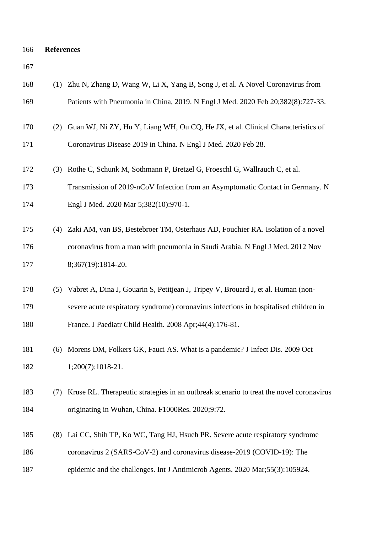# **References**

| 168 |     | (1) Zhu N, Zhang D, Wang W, Li X, Yang B, Song J, et al. A Novel Coronavirus from       |
|-----|-----|-----------------------------------------------------------------------------------------|
| 169 |     | Patients with Pneumonia in China, 2019. N Engl J Med. 2020 Feb 20;382(8):727-33.        |
| 170 | (2) | Guan WJ, Ni ZY, Hu Y, Liang WH, Ou CQ, He JX, et al. Clinical Characteristics of        |
| 171 |     | Coronavirus Disease 2019 in China. N Engl J Med. 2020 Feb 28.                           |
| 172 | (3) | Rothe C, Schunk M, Sothmann P, Bretzel G, Froeschl G, Wallrauch C, et al.               |
| 173 |     | Transmission of 2019-nCoV Infection from an Asymptomatic Contact in Germany. N          |
| 174 |     | Engl J Med. 2020 Mar 5;382(10):970-1.                                                   |
| 175 |     | (4) Zaki AM, van BS, Bestebroer TM, Osterhaus AD, Fouchier RA. Isolation of a novel     |
| 176 |     | coronavirus from a man with pneumonia in Saudi Arabia. N Engl J Med. 2012 Nov           |
| 177 |     | 8;367(19):1814-20.                                                                      |
|     |     |                                                                                         |
| 178 |     | (5) Vabret A, Dina J, Gouarin S, Petitjean J, Tripey V, Brouard J, et al. Human (non-   |
| 179 |     | severe acute respiratory syndrome) coronavirus infections in hospitalised children in   |
| 180 |     | France. J Paediatr Child Health. 2008 Apr; 44(4): 176-81.                               |
| 181 | (6) | Morens DM, Folkers GK, Fauci AS. What is a pandemic? J Infect Dis. 2009 Oct             |
| 182 |     | $1;200(7):1018-21.$                                                                     |
| 183 | (7) | Kruse RL. Therapeutic strategies in an outbreak scenario to treat the novel coronavirus |
| 184 |     | originating in Wuhan, China. F1000Res. 2020;9:72.                                       |
| 185 | (8) | Lai CC, Shih TP, Ko WC, Tang HJ, Hsueh PR. Severe acute respiratory syndrome            |
| 186 |     | coronavirus 2 (SARS-CoV-2) and coronavirus disease-2019 (COVID-19): The                 |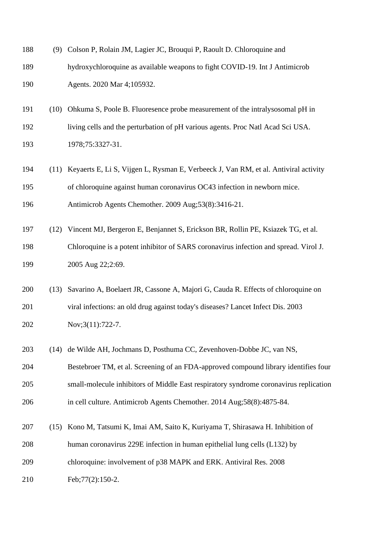| 188 |      | (9) Colson P, Rolain JM, Lagier JC, Brouqui P, Raoult D. Chloroquine and                 |
|-----|------|------------------------------------------------------------------------------------------|
| 189 |      | hydroxychloroquine as available weapons to fight COVID-19. Int J Antimicrob              |
| 190 |      | Agents. 2020 Mar 4;105932.                                                               |
| 191 | (10) | Ohkuma S, Poole B. Fluoresence probe measurement of the intralysosomal pH in             |
| 192 |      | living cells and the perturbation of pH various agents. Proc Natl Acad Sci USA.          |
| 193 |      | 1978;75:3327-31.                                                                         |
| 194 |      | (11) Keyaerts E, Li S, Vijgen L, Rysman E, Verbeeck J, Van RM, et al. Antiviral activity |
| 195 |      | of chloroquine against human coronavirus OC43 infection in newborn mice.                 |
| 196 |      | Antimicrob Agents Chemother. 2009 Aug;53(8):3416-21.                                     |
| 197 | (12) | Vincent MJ, Bergeron E, Benjannet S, Erickson BR, Rollin PE, Ksiazek TG, et al.          |
| 198 |      | Chloroquine is a potent inhibitor of SARS coronavirus infection and spread. Virol J.     |
| 199 |      | 2005 Aug 22;2:69.                                                                        |
| 200 | (13) | Savarino A, Boelaert JR, Cassone A, Majori G, Cauda R. Effects of chloroquine on         |
| 201 |      | viral infections: an old drug against today's diseases? Lancet Infect Dis. 2003          |
| 202 |      | Nov;3(11):722-7.                                                                         |
| 203 | (14) | de Wilde AH, Jochmans D, Posthuma CC, Zevenhoven-Dobbe JC, van NS,                       |
| 204 |      | Bestebroer TM, et al. Screening of an FDA-approved compound library identifies four      |
| 205 |      | small-molecule inhibitors of Middle East respiratory syndrome coronavirus replication    |
| 206 |      | in cell culture. Antimicrob Agents Chemother. 2014 Aug; 58(8): 4875-84.                  |
| 207 | (15) | Kono M, Tatsumi K, Imai AM, Saito K, Kuriyama T, Shirasawa H. Inhibition of              |
| 208 |      | human coronavirus 229E infection in human epithelial lung cells (L132) by                |
| 209 |      | chloroquine: involvement of p38 MAPK and ERK. Antiviral Res. 2008                        |
| 210 |      | Feb; 77(2): 150-2.                                                                       |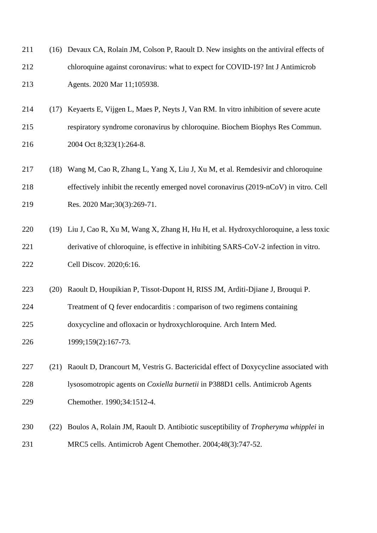| 211 |      | (16) Devaux CA, Rolain JM, Colson P, Raoult D. New insights on the antiviral effects of |
|-----|------|-----------------------------------------------------------------------------------------|
| 212 |      | chloroquine against coronavirus: what to expect for COVID-19? Int J Antimicrob          |
| 213 |      | Agents. 2020 Mar 11;105938.                                                             |
| 214 | (17) | Keyaerts E, Vijgen L, Maes P, Neyts J, Van RM. In vitro inhibition of severe acute      |
| 215 |      | respiratory syndrome coronavirus by chloroquine. Biochem Biophys Res Commun.            |
| 216 |      | 2004 Oct 8;323(1):264-8.                                                                |
| 217 |      | (18) Wang M, Cao R, Zhang L, Yang X, Liu J, Xu M, et al. Remdesivir and chloroquine     |
| 218 |      | effectively inhibit the recently emerged novel coronavirus (2019-nCoV) in vitro. Cell   |
| 219 |      | Res. 2020 Mar;30(3):269-71.                                                             |
| 220 |      | (19) Liu J, Cao R, Xu M, Wang X, Zhang H, Hu H, et al. Hydroxychloroquine, a less toxic |
| 221 |      | derivative of chloroquine, is effective in inhibiting SARS-CoV-2 infection in vitro.    |
| 222 |      | Cell Discov. 2020;6:16.                                                                 |
| 223 | (20) | Raoult D, Houpikian P, Tissot-Dupont H, RISS JM, Arditi-Djiane J, Brouqui P.            |
| 224 |      | Treatment of Q fever endocarditis : comparison of two regimens containing               |
| 225 |      | doxycycline and ofloxacin or hydroxychloroquine. Arch Intern Med.                       |
| 226 |      | 1999;159(2):167-73.                                                                     |
| 227 | (21) | Raoult D, Drancourt M, Vestris G. Bactericidal effect of Doxycycline associated with    |
| 228 |      | lysosomotropic agents on Coxiella burnetii in P388D1 cells. Antimicrob Agents           |
| 229 |      | Chemother. 1990;34:1512-4.                                                              |
| 230 | (22) | Boulos A, Rolain JM, Raoult D. Antibiotic susceptibility of Tropheryma whipplei in      |
| 231 |      | MRC5 cells. Antimicrob Agent Chemother. 2004;48(3):747-52.                              |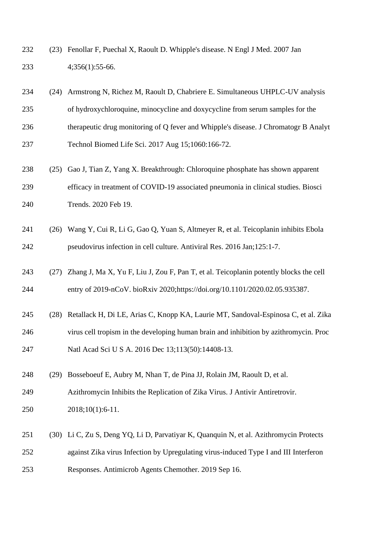(23) Fenollar F, Puechal X, Raoult D. Whipple's disease. N Engl J Med. 2007 Jan 4;356(1):55-66.

| 234 |      | (24) Armstrong N, Richez M, Raoult D, Chabriere E. Simultaneous UHPLC-UV analysis       |
|-----|------|-----------------------------------------------------------------------------------------|
| 235 |      | of hydroxychloroquine, minocycline and doxycycline from serum samples for the           |
| 236 |      | therapeutic drug monitoring of Q fever and Whipple's disease. J Chromatogr B Analyt     |
| 237 |      | Technol Biomed Life Sci. 2017 Aug 15;1060:166-72.                                       |
| 238 | (25) | Gao J, Tian Z, Yang X. Breakthrough: Chloroquine phosphate has shown apparent           |
| 239 |      | efficacy in treatment of COVID-19 associated pneumonia in clinical studies. Biosci      |
| 240 |      | Trends. 2020 Feb 19.                                                                    |
| 241 |      | (26) Wang Y, Cui R, Li G, Gao Q, Yuan S, Altmeyer R, et al. Teicoplanin inhibits Ebola  |
| 242 |      | pseudovirus infection in cell culture. Antiviral Res. 2016 Jan; 125:1-7.                |
| 243 | (27) | Zhang J, Ma X, Yu F, Liu J, Zou F, Pan T, et al. Teicoplanin potently blocks the cell   |
| 244 |      | entry of 2019-nCoV. bioRxiv 2020;https://doi.org/10.1101/2020.02.05.935387.             |
| 245 |      | (28) Retallack H, Di LE, Arias C, Knopp KA, Laurie MT, Sandoval-Espinosa C, et al. Zika |
| 246 |      | virus cell tropism in the developing human brain and inhibition by azithromycin. Proc   |
| 247 |      | Natl Acad Sci U S A. 2016 Dec 13;113(50):14408-13.                                      |
| 248 | (29) | Bosseboeuf E, Aubry M, Nhan T, de Pina JJ, Rolain JM, Raoult D, et al.                  |
| 249 |      | Azithromycin Inhibits the Replication of Zika Virus. J Antivir Antiretrovir.            |
| 250 |      | 2018;10(1):6-11.                                                                        |
| 251 |      | (30) Li C, Zu S, Deng YQ, Li D, Parvatiyar K, Quanquin N, et al. Azithromycin Protects  |
| 252 |      | against Zika virus Infection by Upregulating virus-induced Type I and III Interferon    |
| 253 |      | Responses. Antimicrob Agents Chemother. 2019 Sep 16.                                    |